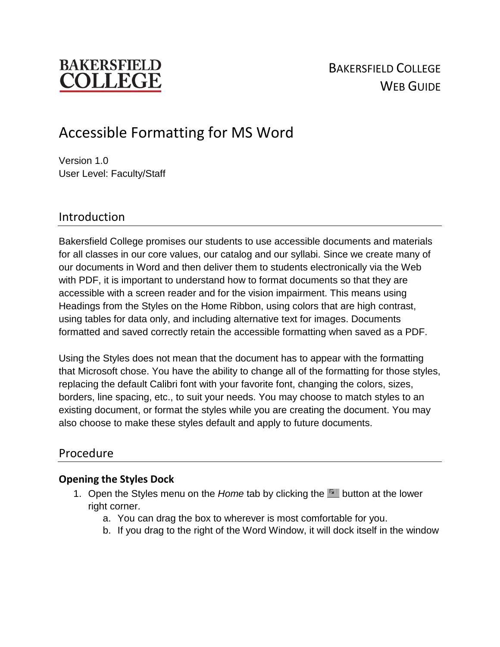# **BAKERSFIELD** 'OLLEG

# Accessible Formatting for MS Word

Version 1.0 User Level: Faculty/Staff

# Introduction

Bakersfield College promises our students to use accessible documents and materials for all classes in our core values, our catalog and our syllabi. Since we create many of our documents in Word and then deliver them to students electronically via the Web with PDF, it is important to understand how to format documents so that they are accessible with a screen reader and for the vision impairment. This means using Headings from the Styles on the Home Ribbon, using colors that are high contrast, using tables for data only, and including alternative text for images. Documents formatted and saved correctly retain the accessible formatting when saved as a PDF.

Using the Styles does not mean that the document has to appear with the formatting that Microsoft chose. You have the ability to change all of the formatting for those styles, replacing the default Calibri font with your favorite font, changing the colors, sizes, borders, line spacing, etc., to suit your needs. You may choose to match styles to an existing document, or format the styles while you are creating the document. You may also choose to make these styles default and apply to future documents.

## Procedure

### **Opening the Styles Dock**

- 1. Open the Styles menu on the *Home* tab by clicking the **button at the lower** right corner.
	- a. You can drag the box to wherever is most comfortable for you.
	- b. If you drag to the right of the Word Window, it will dock itself in the window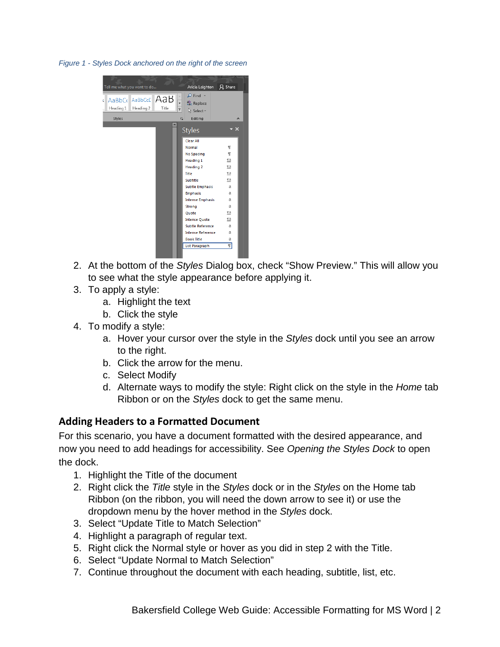*Figure 1 - Styles Dock anchored on the right of the screen*



- 2. At the bottom of the *Styles* Dialog box, check "Show Preview." This will allow you to see what the style appearance before applying it.
- 3. To apply a style:
	- a. Highlight the text
	- b. Click the style
- 4. To modify a style:
	- a. Hover your cursor over the style in the *Styles* dock until you see an arrow to the right.
	- b. Click the arrow for the menu.
	- c. Select Modify
	- d. Alternate ways to modify the style: Right click on the style in the *Home* tab Ribbon or on the *Styles* dock to get the same menu.

### **Adding Headers to a Formatted Document**

For this scenario, you have a document formatted with the desired appearance, and now you need to add headings for accessibility. See *Opening the Styles Dock* to open the dock.

- 1. Highlight the Title of the document
- 2. Right click the *Title* style in the *Styles* dock or in the *Styles* on the Home tab Ribbon (on the ribbon, you will need the down arrow to see it) or use the dropdown menu by the hover method in the *Styles* dock.
- 3. Select "Update Title to Match Selection"
- 4. Highlight a paragraph of regular text.
- 5. Right click the Normal style or hover as you did in step 2 with the Title.
- 6. Select "Update Normal to Match Selection"
- 7. Continue throughout the document with each heading, subtitle, list, etc.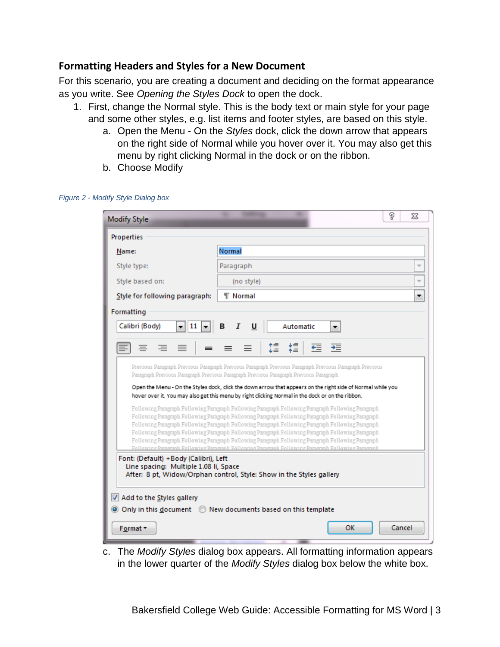#### **Formatting Headers and Styles for a New Document**

For this scenario, you are creating a document and deciding on the format appearance as you write. See *Opening the Styles Dock* to open the dock.

- 1. First, change the Normal style. This is the body text or main style for your page and some other styles, e.g. list items and footer styles, are based on this style.
	- a. Open the Menu On the *Styles* dock, click the down arrow that appears on the right side of Normal while you hover over it. You may also get this menu by right clicking Normal in the dock or on the ribbon.
	- b. Choose Modify

| <b>Modify Style</b>                                                                                                                                                                              |                                                                                                                                                                                                            | P | Σζ                       |  |  |  |  |  |
|--------------------------------------------------------------------------------------------------------------------------------------------------------------------------------------------------|------------------------------------------------------------------------------------------------------------------------------------------------------------------------------------------------------------|---|--------------------------|--|--|--|--|--|
| Properties                                                                                                                                                                                       |                                                                                                                                                                                                            |   |                          |  |  |  |  |  |
| Name:                                                                                                                                                                                            | Normal                                                                                                                                                                                                     |   |                          |  |  |  |  |  |
| Style type:                                                                                                                                                                                      | Paragraph                                                                                                                                                                                                  |   |                          |  |  |  |  |  |
| Style based on:                                                                                                                                                                                  | (no style)                                                                                                                                                                                                 |   | $\overline{\phantom{a}}$ |  |  |  |  |  |
| Style for following paragraph:                                                                                                                                                                   | <b>T</b> Normal                                                                                                                                                                                            |   | ▼                        |  |  |  |  |  |
| Formatting                                                                                                                                                                                       |                                                                                                                                                                                                            |   |                          |  |  |  |  |  |
| 11<br>Calibri (Body)<br>В<br>Automatic<br>æ.<br>Ι<br>U<br>۰<br>▼                                                                                                                                 |                                                                                                                                                                                                            |   |                          |  |  |  |  |  |
|                                                                                                                                                                                                  |                                                                                                                                                                                                            |   |                          |  |  |  |  |  |
| $\equiv$<br>三<br>$\equiv$                                                                                                                                                                        | ⊁≡<br>↑≡<br>↑≡<br>↓≡<br>€≣<br>₹<br>≡                                                                                                                                                                       |   |                          |  |  |  |  |  |
| Previous Paragraph Previous Paragraph Previous Paragraph Previous Paragraph Previous Paragraph Previous<br>Paragraph Previous Paragraph Previous Paragraph Previous Paragraph Previous Paragraph |                                                                                                                                                                                                            |   |                          |  |  |  |  |  |
| Open the Menu - On the Styles dock, click the down arrow that appears on the right side of Normal while you                                                                                      |                                                                                                                                                                                                            |   |                          |  |  |  |  |  |
|                                                                                                                                                                                                  | hover over it. You may also get this menu by right clicking Normal in the dock or on the ribbon.                                                                                                           |   |                          |  |  |  |  |  |
|                                                                                                                                                                                                  | Following Paragraph Following Paragraph Following Paragraph Following Paragraph Following Paragraph                                                                                                        |   |                          |  |  |  |  |  |
|                                                                                                                                                                                                  | Following Paragraph Following Paragraph Following Paragraph Following Paragraph Following Paragraph                                                                                                        |   |                          |  |  |  |  |  |
|                                                                                                                                                                                                  | Following Paragraph Following Paragraph Following Paragraph Following Paragraph Following Paragraph<br>Following Paragraph Following Paragraph Following Paragraph Following Paragraph Following Paragraph |   |                          |  |  |  |  |  |
| Following Paragraph Following Paragraph Following Paragraph Following Paragraph Following Paragraph                                                                                              |                                                                                                                                                                                                            |   |                          |  |  |  |  |  |
|                                                                                                                                                                                                  | Following Paragraph Following Paragraph Following Paragraph Following Paragraph Following Paragraph                                                                                                        |   |                          |  |  |  |  |  |
| Font: (Default) +Body (Calibri), Left<br>Line spacing: Multiple 1.08 li, Space<br>After: 8 pt, Widow/Orphan control, Style: Show in the Styles gallery                                           |                                                                                                                                                                                                            |   |                          |  |  |  |  |  |
| Add to the Styles gallery                                                                                                                                                                        |                                                                                                                                                                                                            |   |                          |  |  |  |  |  |
| • Only in this document • New documents based on this template                                                                                                                                   |                                                                                                                                                                                                            |   |                          |  |  |  |  |  |
| ОΚ<br>Cancel<br>Format -                                                                                                                                                                         |                                                                                                                                                                                                            |   |                          |  |  |  |  |  |

*Figure 2 - Modify Style Dialog box*

c. The *Modify Styles* dialog box appears. All formatting information appears in the lower quarter of the *Modify Styles* dialog box below the white box.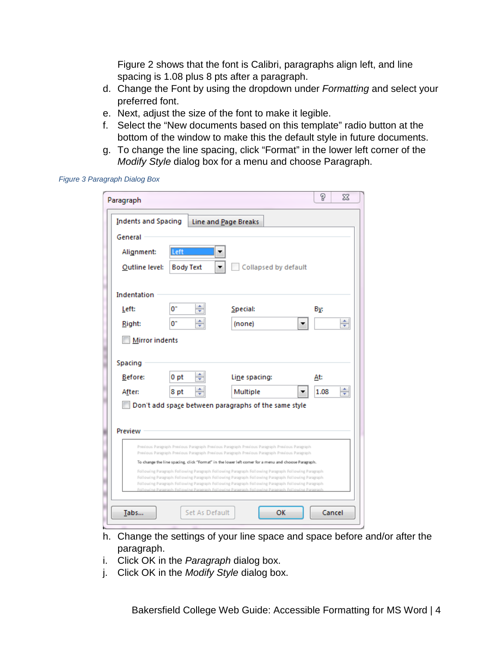Figure 2 shows that the font is Calibri, paragraphs align left, and line spacing is 1.08 plus 8 pts after a paragraph.

- d. Change the Font by using the dropdown under *Formatting* and select your preferred font.
- e. Next, adjust the size of the font to make it legible.
- f. Select the "New documents based on this template" radio button at the bottom of the window to make this the default style in future documents.
- g. To change the line spacing, click "Format" in the lower left corner of the *Modify Style* dialog box for a menu and choose Paragraph.

*Figure 3 Paragraph Dialog Box*

| Paragraph                                          |                  |                                                                                                                                                                                                                                                                                                              | P    | $\Sigma$ |  |  |  |
|----------------------------------------------------|------------------|--------------------------------------------------------------------------------------------------------------------------------------------------------------------------------------------------------------------------------------------------------------------------------------------------------------|------|----------|--|--|--|
| <b>Indents and Spacing</b><br>Line and Page Breaks |                  |                                                                                                                                                                                                                                                                                                              |      |          |  |  |  |
| General                                            |                  |                                                                                                                                                                                                                                                                                                              |      |          |  |  |  |
| Alignment:                                         | Left             |                                                                                                                                                                                                                                                                                                              |      |          |  |  |  |
| Outline level:                                     | <b>Body Text</b> | Collapsed by default                                                                                                                                                                                                                                                                                         |      |          |  |  |  |
|                                                    |                  |                                                                                                                                                                                                                                                                                                              |      |          |  |  |  |
| Indentation                                        |                  |                                                                                                                                                                                                                                                                                                              |      |          |  |  |  |
| Left:                                              | $0^{\circ}$      | Special:                                                                                                                                                                                                                                                                                                     | By:  |          |  |  |  |
| Right:                                             | 0"               | (none)                                                                                                                                                                                                                                                                                                       |      | ÷        |  |  |  |
| <b>Mirror indents</b>                              |                  |                                                                                                                                                                                                                                                                                                              |      |          |  |  |  |
|                                                    |                  |                                                                                                                                                                                                                                                                                                              |      |          |  |  |  |
| Spacing                                            |                  |                                                                                                                                                                                                                                                                                                              |      |          |  |  |  |
| Before:                                            | 0 pt             | Line spacing:                                                                                                                                                                                                                                                                                                | At:  |          |  |  |  |
| After:                                             | 8 pt             | Multiple                                                                                                                                                                                                                                                                                                     | 1.08 | ┯        |  |  |  |
|                                                    |                  | Don't add space between paragraphs of the same style                                                                                                                                                                                                                                                         |      |          |  |  |  |
| Preview                                            |                  |                                                                                                                                                                                                                                                                                                              |      |          |  |  |  |
|                                                    |                  | Previous Paragraph Previous Paragraph Previous Paragraph Previous Paragraph Previous Paragraph                                                                                                                                                                                                               |      |          |  |  |  |
|                                                    |                  | Previous Paragraph Previous Paragraph Previous Paragraph Previous Paragraph Previous Paragraph<br>To change the line spacing, click "Format" in the lower left comer for a menu and choose Paragraph.                                                                                                        |      |          |  |  |  |
|                                                    |                  | Following Paragraph Following Paragraph Following Paragraph Following Paragraph Following Paragraph                                                                                                                                                                                                          |      |          |  |  |  |
|                                                    |                  | Following Paragraph Following Paragraph Following Paragraph Following Paragraph Following Paragraph<br>Following Paragraph Following Paragraph Following Paragraph Following Paragraph Following Paragraph<br>Following Paramesh Following Paramesh Following Paramesh Following Paramesh Following Paramesh |      |          |  |  |  |
|                                                    |                  |                                                                                                                                                                                                                                                                                                              |      |          |  |  |  |
| Tabs                                               | Set As Default   | OK                                                                                                                                                                                                                                                                                                           |      | Cancel   |  |  |  |

- h. Change the settings of your line space and space before and/or after the paragraph.
- i. Click OK in the *Paragraph* dialog box.
- j. Click OK in the *Modify Style* dialog box.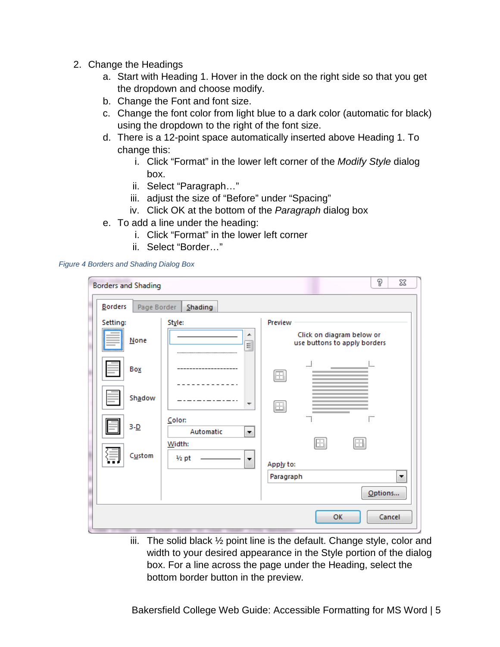- 2. Change the Headings
	- a. Start with Heading 1. Hover in the dock on the right side so that you get the dropdown and choose modify.
	- b. Change the Font and font size.
	- c. Change the font color from light blue to a dark color (automatic for black) using the dropdown to the right of the font size.
	- d. There is a 12-point space automatically inserted above Heading 1. To change this:
		- i. Click "Format" in the lower left corner of the *Modify Style* dialog box.
		- ii. Select "Paragraph…"
		- iii. adjust the size of "Before" under "Spacing"
		- iv. Click OK at the bottom of the *Paragraph* dialog box
	- e. To add a line under the heading:
		- i. Click "Format" in the lower left corner
		- ii. Select "Border…"

#### *Figure 4 Borders and Shading Dialog Box*

| <b>Borders and Shading</b> |             |                            |                          |           |    |                                                           | P       | ΣŜ     |
|----------------------------|-------------|----------------------------|--------------------------|-----------|----|-----------------------------------------------------------|---------|--------|
| <b>Borders</b>             | Page Border | Shading                    |                          |           |    |                                                           |         |        |
| Setting:                   |             | Style:                     |                          | Preview   |    |                                                           |         |        |
| <b>None</b>                |             |                            | ▴<br>릐                   |           |    | Click on diagram below or<br>use buttons to apply borders |         |        |
| Box                        |             |                            |                          | H         | ڶ؊ |                                                           | :       |        |
|                            | Shadow      |                            | $\overline{\phantom{a}}$ | 僵         |    |                                                           |         |        |
|                            |             | Color:                     |                          |           |    | ÷                                                         | :…      |        |
| $3-D$                      |             | Automatic                  | ▼                        |           | Œ  | E                                                         |         |        |
|                            | Custom      | Width:<br>$\frac{1}{2}$ pt | ▼                        | Apply to: |    |                                                           |         |        |
|                            |             |                            |                          | Paragraph |    |                                                           |         | ▼      |
|                            |             |                            |                          |           |    |                                                           | Options |        |
|                            |             |                            |                          |           |    | OK                                                        |         | Cancel |

iii. The solid black  $\frac{1}{2}$  point line is the default. Change style, color and width to your desired appearance in the Style portion of the dialog box. For a line across the page under the Heading, select the bottom border button in the preview.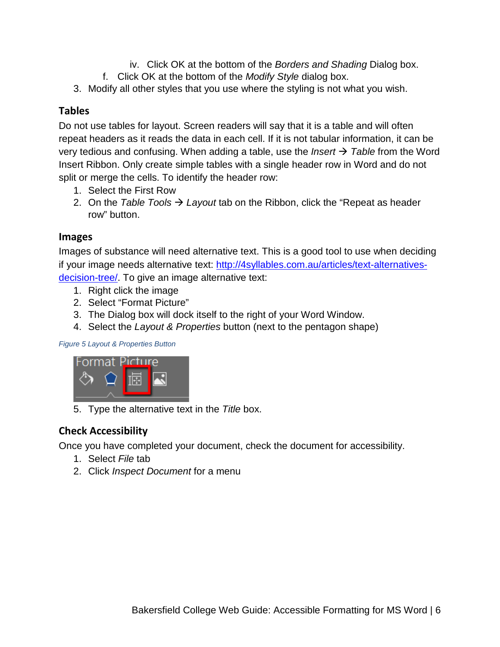- iv. Click OK at the bottom of the *Borders and Shading* Dialog box.
- f. Click OK at the bottom of the *Modify Style* dialog box.
- 3. Modify all other styles that you use where the styling is not what you wish.

### **Tables**

Do not use tables for layout. Screen readers will say that it is a table and will often repeat headers as it reads the data in each cell. If it is not tabular information, it can be very tedious and confusing. When adding a table, use the *Insert Table* from the Word Insert Ribbon. Only create simple tables with a single header row in Word and do not split or merge the cells. To identify the header row:

- 1. Select the First Row
- 2. On the *Table Tools*  $\rightarrow$  Layout tab on the Ribbon, click the "Repeat as header row" button.

#### **Images**

Images of substance will need alternative text. This is a good tool to use when deciding if your image needs alternative text: [http://4syllables.com.au/articles/text-alternatives](http://4syllables.com.au/articles/text-alternatives-decision-tree/)[decision-tree/.](http://4syllables.com.au/articles/text-alternatives-decision-tree/) To give an image alternative text:

- 1. Right click the image
- 2. Select "Format Picture"
- 3. The Dialog box will dock itself to the right of your Word Window.
- 4. Select the *Layout & Properties* button (next to the pentagon shape)

*Figure 5 Layout & Properties Button*



5. Type the alternative text in the *Title* box.

### **Check Accessibility**

Once you have completed your document, check the document for accessibility.

- 1. Select *File* tab
- 2. Click *Inspect Document* for a menu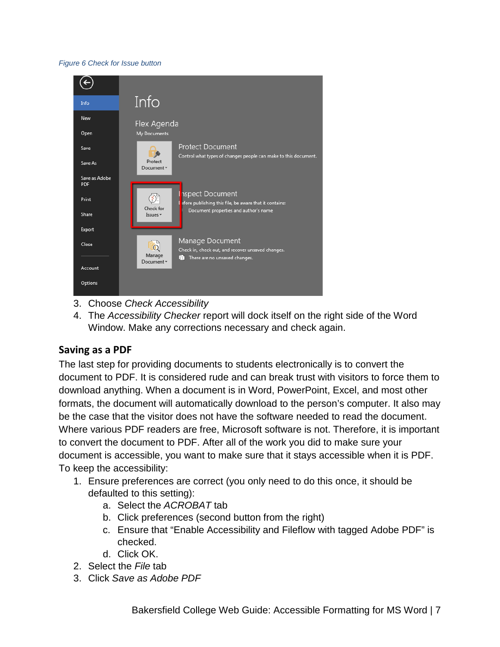#### *Figure 6 Check for Issue button*



- 3. Choose *Check Accessibility*
- 4. The *Accessibility Checker* report will dock itself on the right side of the Word Window. Make any corrections necessary and check again.

#### **Saving as a PDF**

The last step for providing documents to students electronically is to convert the document to PDF. It is considered rude and can break trust with visitors to force them to download anything. When a document is in Word, PowerPoint, Excel, and most other formats, the document will automatically download to the person's computer. It also may be the case that the visitor does not have the software needed to read the document. Where various PDF readers are free, Microsoft software is not. Therefore, it is important to convert the document to PDF. After all of the work you did to make sure your document is accessible, you want to make sure that it stays accessible when it is PDF. To keep the accessibility:

- 1. Ensure preferences are correct (you only need to do this once, it should be defaulted to this setting):
	- a. Select the *ACROBAT* tab
	- b. Click preferences (second button from the right)
	- c. Ensure that "Enable Accessibility and Fileflow with tagged Adobe PDF" is checked.
	- d. Click OK.
- 2. Select the *File* tab
- 3. Click *Save as Adobe PDF*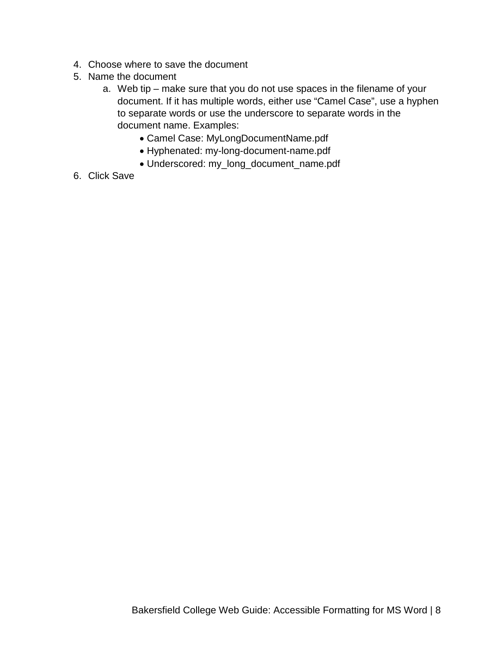- 4. Choose where to save the document
- 5. Name the document
	- a. Web tip make sure that you do not use spaces in the filename of your document. If it has multiple words, either use "Camel Case", use a hyphen to separate words or use the underscore to separate words in the document name. Examples:
		- Camel Case: MyLongDocumentName.pdf
		- Hyphenated: my-long-document-name.pdf
		- Underscored: my\_long\_document\_name.pdf
- 6. Click Save